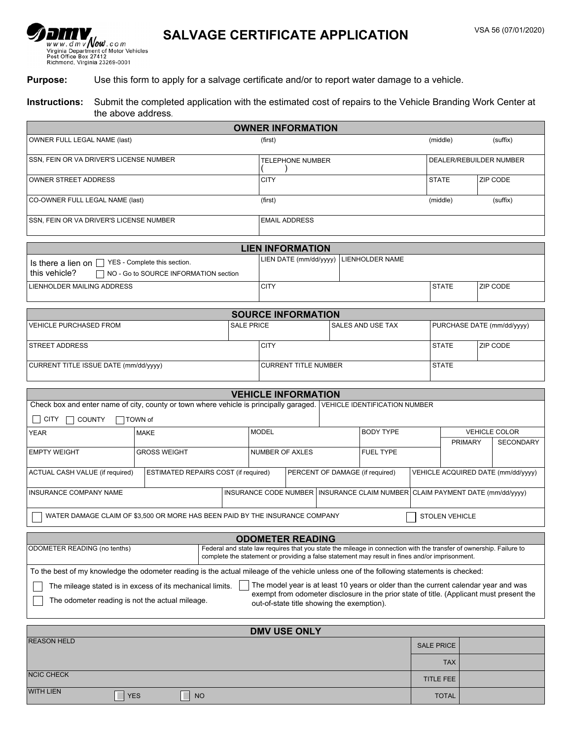# SALVAGE CERTIFICATE APPLICATION VSA 56 (07/01/2020)

### **Purpose:** Use this form to apply for a salvage certificate and/or to report water damage to a vehicle.

#### **Instructions:** Submit the completed application with the estimated cost of repairs to the Vehicle Branding Work Center at the above address.

|                                                                                                                                          |                                                           |                   |                                                  | <b>OWNER INFORMATION</b>                   |  |                  |                                                                                                                                                                                                                      |                                    |                         |  |                                          |  |
|------------------------------------------------------------------------------------------------------------------------------------------|-----------------------------------------------------------|-------------------|--------------------------------------------------|--------------------------------------------|--|------------------|----------------------------------------------------------------------------------------------------------------------------------------------------------------------------------------------------------------------|------------------------------------|-------------------------|--|------------------------------------------|--|
| OWNER FULL LEGAL NAME (last)                                                                                                             |                                                           |                   | (first)                                          |                                            |  |                  |                                                                                                                                                                                                                      |                                    | (middle)                |  | (suffix)                                 |  |
| SSN, FEIN OR VA DRIVER'S LICENSE NUMBER                                                                                                  |                                                           |                   |                                                  | <b>TELEPHONE NUMBER</b>                    |  |                  |                                                                                                                                                                                                                      |                                    | DEALER/REBUILDER NUMBER |  |                                          |  |
| OWNER STREET ADDRESS                                                                                                                     |                                                           |                   |                                                  | <b>CITY</b>                                |  |                  |                                                                                                                                                                                                                      |                                    | <b>STATE</b>            |  | ZIP CODE                                 |  |
| CO-OWNER FULL LEGAL NAME (last)                                                                                                          |                                                           |                   |                                                  | (first)                                    |  |                  |                                                                                                                                                                                                                      |                                    | (middle)                |  | (suffix)                                 |  |
| SSN, FEIN OR VA DRIVER'S LICENSE NUMBER                                                                                                  |                                                           |                   |                                                  | <b>EMAIL ADDRESS</b>                       |  |                  |                                                                                                                                                                                                                      |                                    |                         |  |                                          |  |
|                                                                                                                                          |                                                           |                   |                                                  | <b>LIEN INFORMATION</b>                    |  |                  |                                                                                                                                                                                                                      |                                    |                         |  |                                          |  |
| Is there a lien on $\Box$ YES - Complete this section.<br>this vehicle?                                                                  | NO - Go to SOURCE INFORMATION section                     |                   | LIEN DATE (mm/dd/yyyy)<br><b>LIENHOLDER NAME</b> |                                            |  |                  |                                                                                                                                                                                                                      |                                    |                         |  |                                          |  |
| LIENHOLDER MAILING ADDRESS                                                                                                               |                                                           |                   | <b>CITY</b>                                      |                                            |  |                  | <b>STATE</b>                                                                                                                                                                                                         |                                    | ZIP CODE                |  |                                          |  |
|                                                                                                                                          |                                                           |                   |                                                  | <b>SOURCE INFORMATION</b>                  |  |                  |                                                                                                                                                                                                                      |                                    |                         |  |                                          |  |
| VEHICLE PURCHASED FROM                                                                                                                   |                                                           | <b>SALE PRICE</b> | SALES AND USE TAX                                |                                            |  |                  | PURCHASE DATE (mm/dd/yyyy)                                                                                                                                                                                           |                                    |                         |  |                                          |  |
| <b>STREET ADDRESS</b>                                                                                                                    |                                                           |                   | <b>CITY</b>                                      |                                            |  |                  |                                                                                                                                                                                                                      | <b>STATE</b>                       |                         |  | ZIP CODE                                 |  |
| CURRENT TITLE ISSUE DATE (mm/dd/yyyy)                                                                                                    |                                                           |                   |                                                  | <b>CURRENT TITLE NUMBER</b>                |  |                  |                                                                                                                                                                                                                      |                                    | <b>STATE</b>            |  |                                          |  |
|                                                                                                                                          |                                                           |                   |                                                  | <b>VEHICLE INFORMATION</b>                 |  |                  |                                                                                                                                                                                                                      |                                    |                         |  |                                          |  |
| Check box and enter name of city, county or town where vehicle is principally garaged.                                                   |                                                           |                   |                                                  |                                            |  |                  | VEHICLE IDENTIFICATION NUMBER                                                                                                                                                                                        |                                    |                         |  |                                          |  |
| <b>CITY</b><br>$\vert \ \ \vert$<br><b>COUNTY</b>                                                                                        | TOWN of                                                   |                   |                                                  |                                            |  |                  |                                                                                                                                                                                                                      |                                    |                         |  |                                          |  |
| <b>YEAR</b>                                                                                                                              | <b>MAKE</b>                                               |                   | <b>MODEL</b>                                     |                                            |  | <b>BODY TYPE</b> |                                                                                                                                                                                                                      |                                    | <b>PRIMARY</b>          |  | <b>VEHICLE COLOR</b><br><b>SECONDARY</b> |  |
| <b>EMPTY WEIGHT</b>                                                                                                                      | <b>GROSS WEIGHT</b>                                       |                   |                                                  | <b>NUMBER OF AXLES</b><br><b>FUEL TYPE</b> |  |                  |                                                                                                                                                                                                                      |                                    |                         |  |                                          |  |
| ACTUAL CASH VALUE (if required)                                                                                                          | ESTIMATED REPAIRS COST (if required)                      |                   |                                                  |                                            |  |                  | PERCENT OF DAMAGE (if required)                                                                                                                                                                                      | VEHICLE ACQUIRED DATE (mm/dd/yyyy) |                         |  |                                          |  |
| <b>INSURANCE COMPANY NAME</b>                                                                                                            |                                                           |                   |                                                  |                                            |  |                  | INSURANCE CODE NUMBER INSURANCE CLAIM NUMBER CLAIM PAYMENT DATE (mm/dd/yyyy)                                                                                                                                         |                                    |                         |  |                                          |  |
| WATER DAMAGE CLAIM OF \$3,500 OR MORE HAS BEEN PAID BY THE INSURANCE COMPANY<br><b>STOLEN VEHICLE</b>                                    |                                                           |                   |                                                  |                                            |  |                  |                                                                                                                                                                                                                      |                                    |                         |  |                                          |  |
|                                                                                                                                          |                                                           |                   |                                                  | <b>ODOMETER READING</b>                    |  |                  |                                                                                                                                                                                                                      |                                    |                         |  |                                          |  |
| ODOMETER READING (no tenths)                                                                                                             |                                                           |                   |                                                  |                                            |  |                  | Federal and state law requires that you state the mileage in connection with the transfer of ownership. Failure to<br>complete the statement or providing a false statement may result in fines and/or imprisonment. |                                    |                         |  |                                          |  |
| To the best of my knowledge the odometer reading is the actual mileage of the vehicle unless one of the following statements is checked: |                                                           |                   |                                                  |                                            |  |                  |                                                                                                                                                                                                                      |                                    |                         |  |                                          |  |
| The odometer reading is not the actual mileage.                                                                                          | The mileage stated is in excess of its mechanical limits. |                   |                                                  | out-of-state title showing the exemption). |  |                  | The model year is at least 10 years or older than the current calendar year and was<br>exempt from odometer disclosure in the prior state of title. (Applicant must present the                                      |                                    |                         |  |                                          |  |
| <b>DMV USE ONLY</b>                                                                                                                      |                                                           |                   |                                                  |                                            |  |                  |                                                                                                                                                                                                                      |                                    |                         |  |                                          |  |
| <b>REASON HELD</b>                                                                                                                       |                                                           |                   |                                                  |                                            |  |                  |                                                                                                                                                                                                                      |                                    | <b>SALE PRICE</b>       |  |                                          |  |
|                                                                                                                                          |                                                           |                   |                                                  |                                            |  |                  |                                                                                                                                                                                                                      |                                    |                         |  |                                          |  |

|                   |            |           | <b>TAX</b>   |  |
|-------------------|------------|-----------|--------------|--|
| <b>NCIC CHECK</b> |            |           | TITLE FEE    |  |
| WITH LIEN         | $\neg$ YES | <b>NO</b> | <b>TOTAL</b> |  |